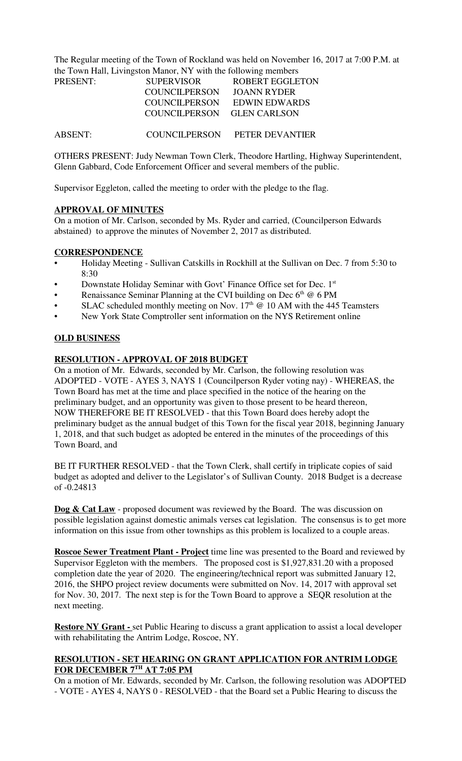The Regular meeting of the Town of Rockland was held on November 16, 2017 at 7:00 P.M. at the Town Hall, Livingston Manor, NY with the following members

| <b>PRESENT:</b> | <b>SUPERVISOR</b>          | ROBERT EGGLETON |
|-----------------|----------------------------|-----------------|
|                 | <b>COUNCILPERSON</b>       | JOANN RYDER     |
|                 | COUNCILPERSON              | EDWIN EDWARDS   |
|                 | COUNCILPERSON GLEN CARLSON |                 |
|                 |                            |                 |
| <b>ABSENT:</b>  | <b>COUNCILPERSON</b>       | PETER DEVANTIER |

OTHERS PRESENT: Judy Newman Town Clerk, Theodore Hartling, Highway Superintendent, Glenn Gabbard, Code Enforcement Officer and several members of the public.

Supervisor Eggleton, called the meeting to order with the pledge to the flag.

#### **APPROVAL OF MINUTES**

On a motion of Mr. Carlson, seconded by Ms. Ryder and carried, (Councilperson Edwards abstained) to approve the minutes of November 2, 2017 as distributed.

#### **CORRESPONDENCE**

- Holiday Meeting Sullivan Catskills in Rockhill at the Sullivan on Dec. 7 from 5:30 to 8:30
- Downstate Holiday Seminar with Govt' Finance Office set for Dec. 1st
- Renaissance Seminar Planning at the CVI building on Dec  $6<sup>th</sup> @ 6 PM$
- SLAC scheduled monthly meeting on Nov.  $17<sup>th</sup>$  @ 10 AM with the 445 Teamsters
- New York State Comptroller sent information on the NYS Retirement online

# **OLD BUSINESS**

## **RESOLUTION - APPROVAL OF 2018 BUDGET**

On a motion of Mr. Edwards, seconded by Mr. Carlson, the following resolution was ADOPTED - VOTE - AYES 3, NAYS 1 (Councilperson Ryder voting nay) - WHEREAS, the Town Board has met at the time and place specified in the notice of the hearing on the preliminary budget, and an opportunity was given to those present to be heard thereon, NOW THEREFORE BE IT RESOLVED - that this Town Board does hereby adopt the preliminary budget as the annual budget of this Town for the fiscal year 2018, beginning January 1, 2018, and that such budget as adopted be entered in the minutes of the proceedings of this Town Board, and

BE IT FURTHER RESOLVED - that the Town Clerk, shall certify in triplicate copies of said budget as adopted and deliver to the Legislator's of Sullivan County. 2018 Budget is a decrease of -0.24813

**Dog & Cat Law** - proposed document was reviewed by the Board. The was discussion on possible legislation against domestic animals verses cat legislation. The consensus is to get more information on this issue from other townships as this problem is localized to a couple areas.

**Roscoe Sewer Treatment Plant - Project** time line was presented to the Board and reviewed by Supervisor Eggleton with the members. The proposed cost is \$1,927,831.20 with a proposed completion date the year of 2020. The engineering/technical report was submitted January 12, 2016, the SHPO project review documents were submitted on Nov. 14, 2017 with approval set for Nov. 30, 2017. The next step is for the Town Board to approve a SEQR resolution at the next meeting.

**Restore NY Grant -** set Public Hearing to discuss a grant application to assist a local developer with rehabilitating the Antrim Lodge, Roscoe, NY.

## **RESOLUTION - SET HEARING ON GRANT APPLICATION FOR ANTRIM LODGE FOR DECEMBER 7TH AT 7:05 PM**

On a motion of Mr. Edwards, seconded by Mr. Carlson, the following resolution was ADOPTED - VOTE - AYES 4, NAYS 0 - RESOLVED - that the Board set a Public Hearing to discuss the